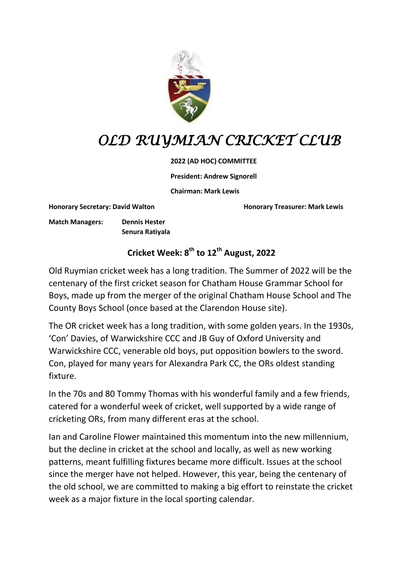

# *OLD RUYMIAN CRICKET CLUB*

#### **2022 (AD HOC) COMMITTEE**

**President: Andrew Signorell**

**Chairman: Mark Lewis**

**Honorary Secretary: David Walton Honorary Treasurer: Mark Lewis**

**Match Managers: Dennis Hester Senura Ratiyala**

## **Cricket Week: 8th to 12th August, 2022**

Old Ruymian cricket week has a long tradition. The Summer of 2022 will be the centenary of the first cricket season for Chatham House Grammar School for Boys, made up from the merger of the original Chatham House School and The County Boys School (once based at the Clarendon House site).

The OR cricket week has a long tradition, with some golden years. In the 1930s, 'Con' Davies, of Warwickshire CCC and JB Guy of Oxford University and Warwickshire CCC, venerable old boys, put opposition bowlers to the sword. Con, played for many years for Alexandra Park CC, the ORs oldest standing fixture.

In the 70s and 80 Tommy Thomas with his wonderful family and a few friends, catered for a wonderful week of cricket, well supported by a wide range of cricketing ORs, from many different eras at the school.

Ian and Caroline Flower maintained this momentum into the new millennium, but the decline in cricket at the school and locally, as well as new working patterns, meant fulfilling fixtures became more difficult. Issues at the school since the merger have not helped. However, this year, being the centenary of the old school, we are committed to making a big effort to reinstate the cricket week as a major fixture in the local sporting calendar.